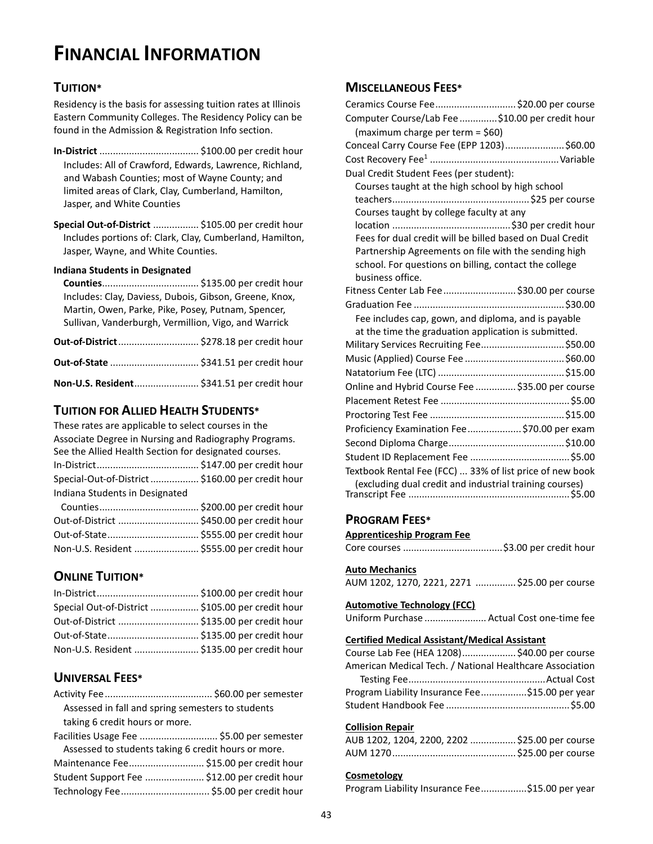# **FINANCIAL INFORMATION**

# **TUITION\***

Residency is the basis for assessing tuition rates at Illinois Eastern Community Colleges. The Residency Policy can be found in the Admission & Registration Info section.

- **In-District** ..................................... \$100.00 per credit hour Includes: All of Crawford, Edwards, Lawrence, Richland, and Wabash Counties; most of Wayne County; and limited areas of Clark, Clay, Cumberland, Hamilton, Jasper, and White Counties
- **Special Out-of-District** ................. \$105.00 per credit hour Includes portions of: Clark, Clay, Cumberland, Hamilton, Jasper, Wayne, and White Counties.

### **Indiana Students in Designated**

**Counties**.................................... \$135.00 per credit hour Includes: Clay, Daviess, Dubois, Gibson, Greene, Knox, Martin, Owen, Parke, Pike, Posey, Putnam, Spencer, Sullivan, Vanderburgh, Vermillion, Vigo, and Warrick

| Non-U.S. Resident \$341.51 per credit hour |  |
|--------------------------------------------|--|

# **TUITION FOR ALLIED HEALTH STUDENTS\***

These rates are applicable to select courses in the Associate Degree in Nursing and Radiography Programs. See the Allied Health Section for designated courses. In-District...................................... \$147.00 per credit hour Special-Out-of-District.................. \$160.00 per credit hour Indiana Students in Designated

| Out-of-District  \$450.00 per credit hour   |  |
|---------------------------------------------|--|
| Out-of-State \$555.00 per credit hour       |  |
| Non-U.S. Resident  \$555.00 per credit hour |  |

# **ONLINE TUITION\***

| Special Out-of-District  \$105.00 per credit hour |  |
|---------------------------------------------------|--|
| Out-of-District  \$135.00 per credit hour         |  |
|                                                   |  |
| Non-U.S. Resident  \$135.00 per credit hour       |  |

# **UNIVERSAL FEES\***

| Assessed in fall and spring semesters to students |  |
|---------------------------------------------------|--|
| taking 6 credit hours or more.                    |  |

| Facilities Usage Fee  \$5.00 per semester           |  |  |  |
|-----------------------------------------------------|--|--|--|
| Assessed to students taking 6 credit hours or more. |  |  |  |
| Maintenance Fee \$15.00 per credit hour             |  |  |  |
| Student Support Fee  \$12.00 per credit hour        |  |  |  |
|                                                     |  |  |  |
|                                                     |  |  |  |

# **MISCELLANEOUS FEES\***

| Ceramics Course Fee \$20.00 per course                   |
|----------------------------------------------------------|
| Computer Course/Lab Fee \$10.00 per credit hour          |
| (maximum charge per term = $$60$ )                       |
| Conceal Carry Course Fee (EPP 1203)\$60.00               |
|                                                          |
| Dual Credit Student Fees (per student):                  |
| Courses taught at the high school by high school         |
|                                                          |
| Courses taught by college faculty at any                 |
|                                                          |
| Fees for dual credit will be billed based on Dual Credit |
| Partnership Agreements on file with the sending high     |
| school. For questions on billing, contact the college    |
| business office.                                         |
| Fitness Center Lab Fee  \$30.00 per course               |
|                                                          |
| Fee includes cap, gown, and diploma, and is payable      |
| at the time the graduation application is submitted.     |
| Military Services Recruiting Fee\$50.00                  |
|                                                          |
|                                                          |
| Online and Hybrid Course Fee  \$35.00 per course         |
|                                                          |
|                                                          |
| Proficiency Examination Fee  \$70.00 per exam            |
|                                                          |
|                                                          |
| Textbook Rental Fee (FCC)  33% of list price of new book |
| (excluding dual credit and industrial training courses)  |

# **PROGRAM FEES\***

# **Apprenticeship Program Fee**

|--|--|--|--|--|

# **Auto Mechanics**

| AUM 1202, 1270, 2221, 2271 \$25.00 per course |  |
|-----------------------------------------------|--|
|-----------------------------------------------|--|

# **Automotive Technology (FCC)**

Uniform Purchase ....................... Actual Cost one-time fee

# **Certified Medical Assistant/Medical Assistant**

| Course Lab Fee (HEA 1208)\$40.00 per course              |  |  |  |
|----------------------------------------------------------|--|--|--|
| American Medical Tech. / National Healthcare Association |  |  |  |
|                                                          |  |  |  |
| Program Liability Insurance Fee\$15.00 per year          |  |  |  |
|                                                          |  |  |  |

# **Collision Repair**

| AUB 1202, 1204, 2200, 2202 \$25.00 per course |  |
|-----------------------------------------------|--|
|                                               |  |

# **Cosmetology**

|  |  | Program Liability Insurance Fee\$15.00 per year |
|--|--|-------------------------------------------------|
|--|--|-------------------------------------------------|